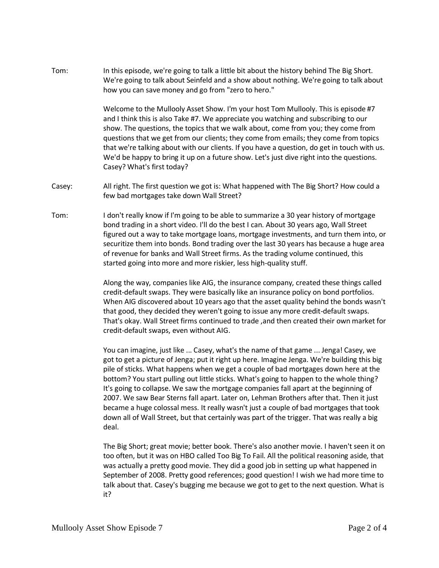Tom: In this episode, we're going to talk a little bit about the history behind The Big Short. We're going to talk about Seinfeld and a show about nothing. We're going to talk about how you can save money and go from "zero to hero."

> Welcome to the Mullooly Asset Show. I'm your host Tom Mullooly. This is episode #7 and I think this is also Take #7. We appreciate you watching and subscribing to our show. The questions, the topics that we walk about, come from you; they come from questions that we get from our clients; they come from emails; they come from topics that we're talking about with our clients. If you have a question, do get in touch with us. We'd be happy to bring it up on a future show. Let's just dive right into the questions. Casey? What's first today?

- Casey: All right. The first question we got is: What happened with The Big Short? How could a few bad mortgages take down Wall Street?
- Tom: I don't really know if I'm going to be able to summarize a 30 year history of mortgage bond trading in a short video. I'll do the best I can. About 30 years ago, Wall Street figured out a way to take mortgage loans, mortgage investments, and turn them into, or securitize them into bonds. Bond trading over the last 30 years has because a huge area of revenue for banks and Wall Street firms. As the trading volume continued, this started going into more and more riskier, less high-quality stuff.

Along the way, companies like AIG, the insurance company, created these things called credit-default swaps. They were basically like an insurance policy on bond portfolios. When AIG discovered about 10 years ago that the asset quality behind the bonds wasn't that good, they decided they weren't going to issue any more credit-default swaps. That's okay. Wall Street firms continued to trade ,and then created their own market for credit-default swaps, even without AIG.

You can imagine, just like ... Casey, what's the name of that game ... Jenga! Casey, we got to get a picture of Jenga; put it right up here. Imagine Jenga. We're building this big pile of sticks. What happens when we get a couple of bad mortgages down here at the bottom? You start pulling out little sticks. What's going to happen to the whole thing? It's going to collapse. We saw the mortgage companies fall apart at the beginning of 2007. We saw Bear Sterns fall apart. Later on, Lehman Brothers after that. Then it just became a huge colossal mess. It really wasn't just a couple of bad mortgages that took down all of Wall Street, but that certainly was part of the trigger. That was really a big deal.

The Big Short; great movie; better book. There's also another movie. I haven't seen it on too often, but it was on HBO called Too Big To Fail. All the political reasoning aside, that was actually a pretty good movie. They did a good job in setting up what happened in September of 2008. Pretty good references; good question! I wish we had more time to talk about that. Casey's bugging me because we got to get to the next question. What is it?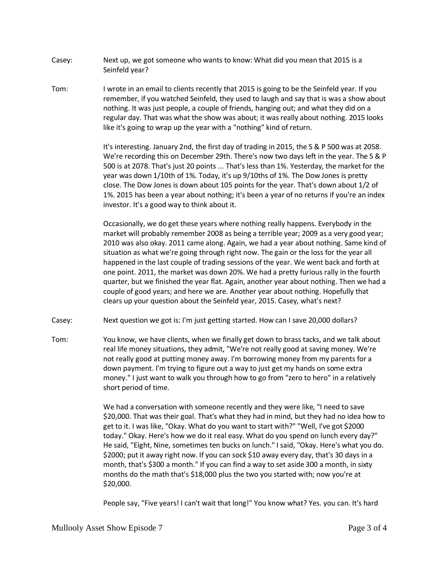- Casey: Next up, we got someone who wants to know: What did you mean that 2015 is a Seinfeld year?
- Tom: I wrote in an email to clients recently that 2015 is going to be the Seinfeld year. If you remember, if you watched Seinfeld, they used to laugh and say that is was a show about nothing. It was just people, a couple of friends, hanging out; and what they did on a regular day. That was what the show was about; it was really about nothing. 2015 looks like it's going to wrap up the year with a "nothing" kind of return.

It's interesting. January 2nd, the first day of trading in 2015, the S & P 500 was at 2058. We're recording this on December 29th. There's now two days left in the year. The S & P 500 is at 2078. That's just 20 points ... That's less than 1%. Yesterday, the market for the year was down 1/10th of 1%. Today, it's up 9/10ths of 1%. The Dow Jones is pretty close. The Dow Jones is down about 105 points for the year. That's down about 1/2 of 1%. 2015 has been a year about nothing; it's been a year of no returns if you're an index investor. It's a good way to think about it.

Occasionally, we do get these years where nothing really happens. Everybody in the market will probably remember 2008 as being a terrible year; 2009 as a very good year; 2010 was also okay. 2011 came along. Again, we had a year about nothing. Same kind of situation as what we're going through right now. The gain or the loss for the year all happened in the last couple of trading sessions of the year. We went back and forth at one point. 2011, the market was down 20%. We had a pretty furious rally in the fourth quarter, but we finished the year flat. Again, another year about nothing. Then we had a couple of good years; and here we are. Another year about nothing. Hopefully that clears up your question about the Seinfeld year, 2015. Casey, what's next?

- Casey: Next question we got is: I'm just getting started. How can I save 20,000 dollars?
- Tom: You know, we have clients, when we finally get down to brass tacks, and we talk about real life money situations, they admit, "We're not really good at saving money. We're not really good at putting money away. I'm borrowing money from my parents for a down payment. I'm trying to figure out a way to just get my hands on some extra money." I just want to walk you through how to go from "zero to hero" in a relatively short period of time.

We had a conversation with someone recently and they were like, "I need to save \$20,000. That was their goal. That's what they had in mind, but they had no idea how to get to it. I was like, "Okay. What do you want to start with?" "Well, I've got \$2000 today." Okay. Here's how we do it real easy. What do you spend on lunch every day?" He said, "Eight, Nine, sometimes ten bucks on lunch." I said, "Okay. Here's what you do. \$2000; put it away right now. If you can sock \$10 away every day, that's 30 days in a month, that's \$300 a month." If you can find a way to set aside 300 a month, in sixty months do the math that's \$18,000 plus the two you started with; now you're at \$20,000.

People say, "Five years! I can't wait that long!" You know what? Yes. you can. It's hard